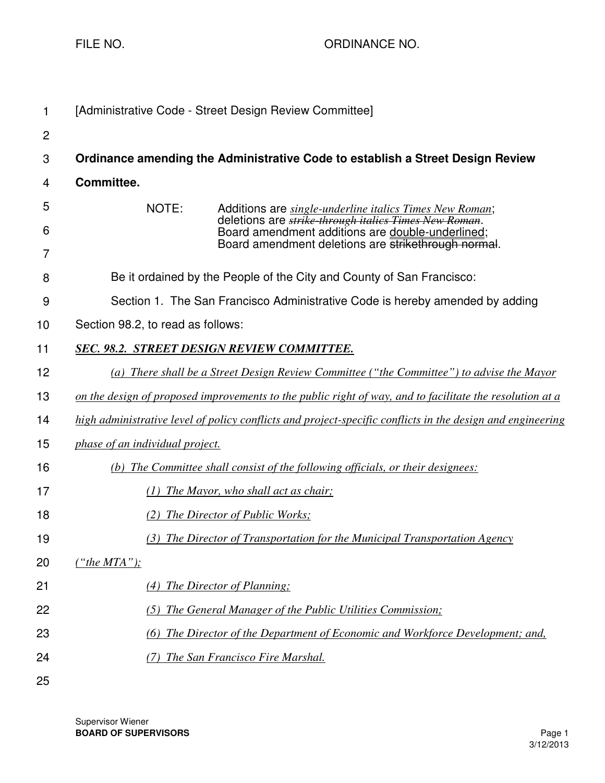FILE NO. 69 CHE AND THE RESERVE TO A REPORT ORDINANCE NO.

| 1              | [Administrative Code - Street Design Review Committee]                                                                                                                   |
|----------------|--------------------------------------------------------------------------------------------------------------------------------------------------------------------------|
| $\overline{2}$ |                                                                                                                                                                          |
| 3              | Ordinance amending the Administrative Code to establish a Street Design Review                                                                                           |
| 4              | Committee.                                                                                                                                                               |
| 5              | NOTE:<br>Additions are <i>single-underline italics Times New Roman</i> ;                                                                                                 |
| 6              | deletions are <i>strike through italics Times New Roman</i> .<br>Board amendment additions are double-underlined;<br>Board amendment deletions are strikethrough normal. |
| 7              |                                                                                                                                                                          |
| 8              | Be it ordained by the People of the City and County of San Francisco:                                                                                                    |
| 9              | Section 1. The San Francisco Administrative Code is hereby amended by adding                                                                                             |
| 10             | Section 98.2, to read as follows:                                                                                                                                        |
| 11             | <b>SEC. 98.2. STREET DESIGN REVIEW COMMITTEE.</b>                                                                                                                        |
| 12             | (a) There shall be a Street Design Review Committee ("the Committee") to advise the Mayor                                                                                |
| 13             | on the design of proposed improvements to the public right of way, and to facilitate the resolution at a                                                                 |
| 14             | high administrative level of policy conflicts and project-specific conflicts in the design and engineering                                                               |
| 15             | <i>phase of an individual project.</i>                                                                                                                                   |
| 16             | (b) The Committee shall consist of the following officials, or their designees:                                                                                          |
| 17             | (1) The Mayor, who shall act as chair;                                                                                                                                   |
| 18             | (2) The Director of Public Works;                                                                                                                                        |
| 19             | (3) The Director of Transportation for the Municipal Transportation Agency                                                                                               |
| 20             | ("the MTA");                                                                                                                                                             |
| 21             | (4) The Director of Planning;                                                                                                                                            |
| 22             | (5) The General Manager of the Public Utilities Commission;                                                                                                              |
| 23             | (6) The Director of the Department of Economic and Workforce Development; and,                                                                                           |
| 24             | (7) The San Francisco Fire Marshal.                                                                                                                                      |
| 25             |                                                                                                                                                                          |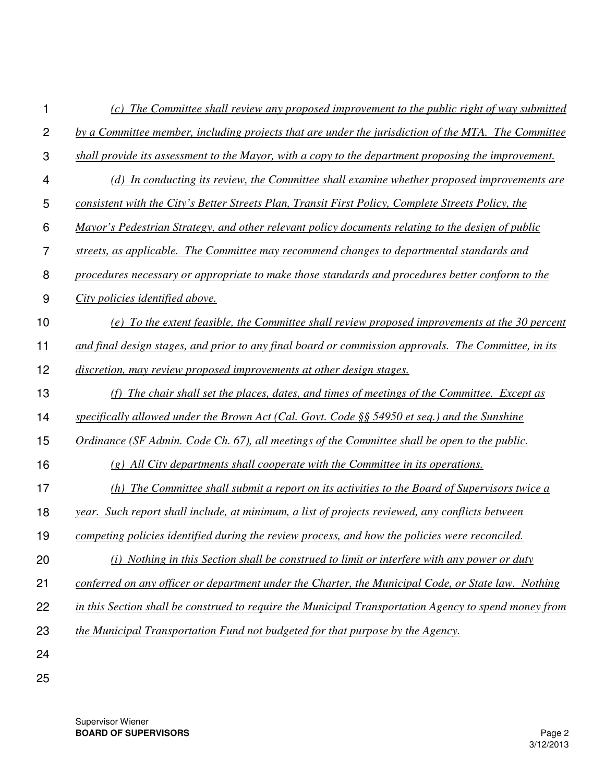| 1              | (c) The Committee shall review any proposed improvement to the public right of way submitted          |
|----------------|-------------------------------------------------------------------------------------------------------|
| $\overline{c}$ | by a Committee member, including projects that are under the jurisdiction of the MTA. The Committee   |
| 3              | shall provide its assessment to the Mayor, with a copy to the department proposing the improvement.   |
| 4              | (d) In conducting its review, the Committee shall examine whether proposed improvements are           |
| 5              | consistent with the City's Better Streets Plan, Transit First Policy, Complete Streets Policy, the    |
| 6              | Mayor's Pedestrian Strategy, and other relevant policy documents relating to the design of public     |
| $\overline{7}$ | streets, as applicable. The Committee may recommend changes to departmental standards and             |
| 8              | procedures necessary or appropriate to make those standards and procedures better conform to the      |
| 9              | City policies identified above.                                                                       |
| 10             | (e) To the extent feasible, the Committee shall review proposed improvements at the 30 percent        |
| 11             | and final design stages, and prior to any final board or commission approvals. The Committee, in its  |
| 12             | discretion, may review proposed improvements at other design stages.                                  |
| 13             | (f) The chair shall set the places, dates, and times of meetings of the Committee. Except as          |
| 14             | specifically allowed under the Brown Act (Cal. Govt. Code §§ 54950 et seq.) and the Sunshine          |
| 15             | Ordinance (SF Admin. Code Ch. 67), all meetings of the Committee shall be open to the public.         |
| 16             | $(g)$ All City departments shall cooperate with the Committee in its operations.                      |
| 17             | (h) The Committee shall submit a report on its activities to the Board of Supervisors twice a         |
| 18             | year. Such report shall include, at minimum, a list of projects reviewed, any conflicts between       |
| 19             | competing policies identified during the review process, and how the policies were reconciled.        |
| 20             | (i) Nothing in this Section shall be construed to limit or interfere with any power or duty           |
| 21             | conferred on any officer or department under the Charter, the Municipal Code, or State law. Nothing   |
| 22             | in this Section shall be construed to require the Municipal Transportation Agency to spend money from |
| 23             | the Municipal Transportation Fund not budgeted for that purpose by the Agency.                        |
| 24             |                                                                                                       |
| 25             |                                                                                                       |

Supervisor Wiener **BOARD OF SUPERVISORS** Page 2